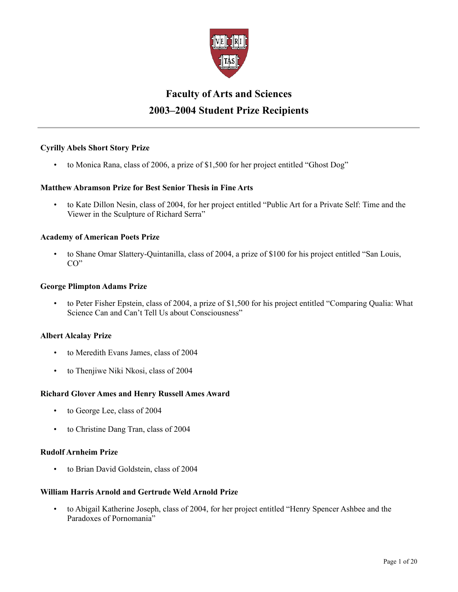

# **Faculty of Arts and Sciences 2003–2004 Student Prize Recipients**

# **Cyrilly Abels Short Story Prize**

• to Monica Rana, class of 2006, a prize of \$1,500 for her project entitled "Ghost Dog"

# **Matthew Abramson Prize for Best Senior Thesis in Fine Arts**

• to Kate Dillon Nesin, class of 2004, for her project entitled "Public Art for a Private Self: Time and the Viewer in the Sculpture of Richard Serra"

### **Academy of American Poets Prize**

• to Shane Omar Slattery-Quintanilla, class of 2004, a prize of \$100 for his project entitled "San Louis, CO"

### **George Plimpton Adams Prize**

• to Peter Fisher Epstein, class of 2004, a prize of \$1,500 for his project entitled "Comparing Qualia: What Science Can and Can't Tell Us about Consciousness"

### **Albert Alcalay Prize**

- to Meredith Evans James, class of 2004
- to Thenjiwe Niki Nkosi, class of 2004

### **Richard Glover Ames and Henry Russell Ames Award**

- to George Lee, class of 2004
- to Christine Dang Tran, class of 2004

### **Rudolf Arnheim Prize**

• to Brian David Goldstein, class of 2004

# **William Harris Arnold and Gertrude Weld Arnold Prize**

• to Abigail Katherine Joseph, class of 2004, for her project entitled "Henry Spencer Ashbee and the Paradoxes of Pornomania"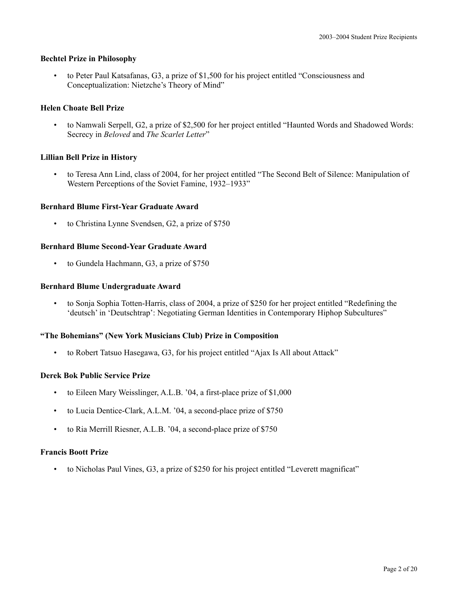# **Bechtel Prize in Philosophy**

• to Peter Paul Katsafanas, G3, a prize of \$1,500 for his project entitled "Consciousness and Conceptualization: Nietzche's Theory of Mind"

# **Helen Choate Bell Prize**

• to Namwali Serpell, G2, a prize of \$2,500 for her project entitled "Haunted Words and Shadowed Words: Secrecy in *Beloved* and *The Scarlet Letter*"

### **Lillian Bell Prize in History**

• to Teresa Ann Lind, class of 2004, for her project entitled "The Second Belt of Silence: Manipulation of Western Perceptions of the Soviet Famine, 1932–1933"

### **Bernhard Blume First-Year Graduate Award**

to Christina Lynne Svendsen, G2, a prize of \$750

# **Bernhard Blume Second-Year Graduate Award**

• to Gundela Hachmann, G3, a prize of \$750

### **Bernhard Blume Undergraduate Award**

• to Sonja Sophia Totten-Harris, class of 2004, a prize of \$250 for her project entitled "Redefining the 'deutsch' in 'Deutschtrap': Negotiating German Identities in Contemporary Hiphop Subcultures"

### **"The Bohemians" (New York Musicians Club) Prize in Composition**

• to Robert Tatsuo Hasegawa, G3, for his project entitled "Ajax Is All about Attack"

### **Derek Bok Public Service Prize**

- to Eileen Mary Weisslinger, A.L.B. '04, a first-place prize of \$1,000
- to Lucia Dentice-Clark, A.L.M. '04, a second-place prize of \$750
- to Ria Merrill Riesner, A.L.B. '04, a second-place prize of \$750

### **Francis Boott Prize**

• to Nicholas Paul Vines, G3, a prize of \$250 for his project entitled "Leverett magnificat"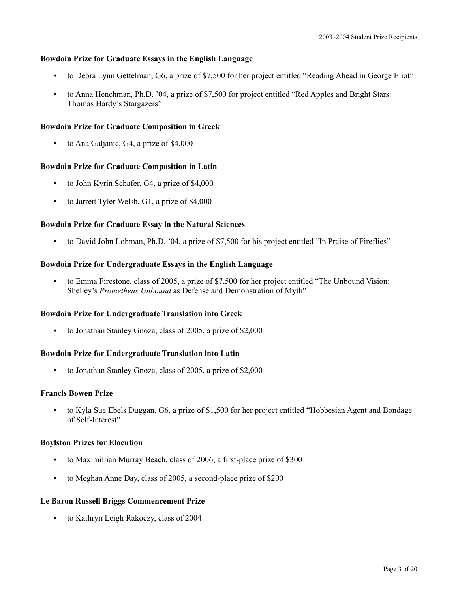# **Bowdoin Prize for Graduate Essays in the English Language**

- to Debra Lynn Gettelman, G6, a prize of \$7,500 for her project entitled "Reading Ahead in George Eliot"
- to Anna Henchman, Ph.D. '04, a prize of \$7,500 for project entitled "Red Apples and Bright Stars: Thomas Hardy's Stargazers"

# **Bowdoin Prize for Graduate Composition in Greek**

• to Ana Galjanic, G4, a prize of \$4,000

# **Bowdoin Prize for Graduate Composition in Latin**

- to John Kyrin Schafer, G4, a prize of \$4,000
- to Jarrett Tyler Welsh, G1, a prize of \$4,000

# **Bowdoin Prize for Graduate Essay in the Natural Sciences**

• to David John Lohman, Ph.D. '04, a prize of \$7,500 for his project entitled "In Praise of Fireflies"

# **Bowdoin Prize for Undergraduate Essays in the English Language**

• to Emma Firestone, class of 2005, a prize of \$7,500 for her project entitled "The Unbound Vision: Shelley's *Prometheus Unbound* as Defense and Demonstration of Myth"

# **Bowdoin Prize for Undergraduate Translation into Greek**

• to Jonathan Stanley Gnoza, class of 2005, a prize of \$2,000

# **Bowdoin Prize for Undergraduate Translation into Latin**

• to Jonathan Stanley Gnoza, class of 2005, a prize of \$2,000

# **Francis Bowen Prize**

• to Kyla Sue Ebels Duggan, G6, a prize of \$1,500 for her project entitled "Hobbesian Agent and Bondage of Self-Interest"

# **Boylston Prizes for Elocution**

- to Maximillian Murray Beach, class of 2006, a first-place prize of \$300
- to Meghan Anne Day, class of 2005, a second-place prize of \$200

# **Le Baron Russell Briggs Commencement Prize**

• to Kathryn Leigh Rakoczy, class of 2004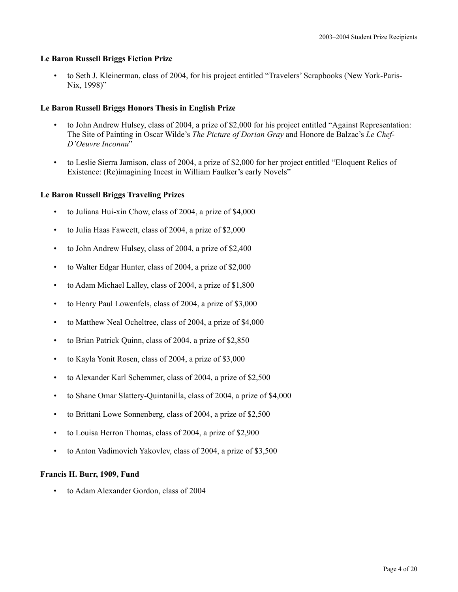### **Le Baron Russell Briggs Fiction Prize**

• to Seth J. Kleinerman, class of 2004, for his project entitled "Travelers' Scrapbooks (New York-Paris-Nix, 1998)"

# **Le Baron Russell Briggs Honors Thesis in English Prize**

- to John Andrew Hulsey, class of 2004, a prize of \$2,000 for his project entitled "Against Representation: The Site of Painting in Oscar Wilde's *The Picture of Dorian Gray* and Honore de Balzac's *Le Chef-D'Oeuvre Inconnu*"
- to Leslie Sierra Jamison, class of 2004, a prize of \$2,000 for her project entitled "Eloquent Relics of Existence: (Re)imagining Incest in William Faulker's early Novels"

### **Le Baron Russell Briggs Traveling Prizes**

- to Juliana Hui-xin Chow, class of 2004, a prize of \$4,000
- to Julia Haas Fawcett, class of 2004, a prize of \$2,000
- to John Andrew Hulsey, class of 2004, a prize of \$2,400
- to Walter Edgar Hunter, class of 2004, a prize of \$2,000
- to Adam Michael Lalley, class of 2004, a prize of \$1,800
- to Henry Paul Lowenfels, class of 2004, a prize of \$3,000
- to Matthew Neal Ocheltree, class of 2004, a prize of \$4,000
- to Brian Patrick Quinn, class of 2004, a prize of \$2,850
- to Kayla Yonit Rosen, class of 2004, a prize of \$3,000
- to Alexander Karl Schemmer, class of 2004, a prize of \$2,500
- to Shane Omar Slattery-Quintanilla, class of 2004, a prize of \$4,000
- to Brittani Lowe Sonnenberg, class of 2004, a prize of \$2,500
- to Louisa Herron Thomas, class of 2004, a prize of \$2,900
- to Anton Vadimovich Yakovlev, class of 2004, a prize of \$3,500

### **Francis H. Burr, 1909, Fund**

• to Adam Alexander Gordon, class of 2004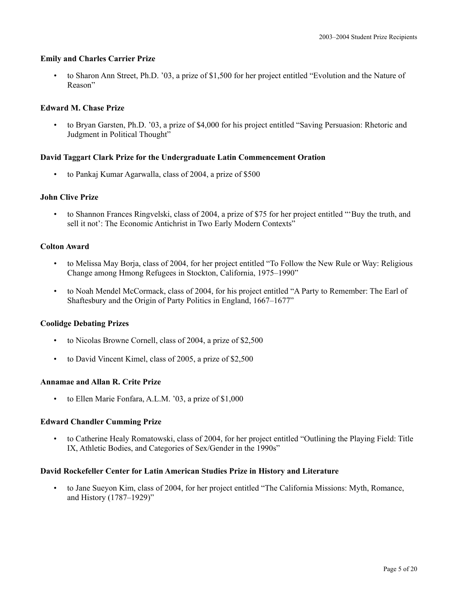# **Emily and Charles Carrier Prize**

• to Sharon Ann Street, Ph.D. '03, a prize of \$1,500 for her project entitled "Evolution and the Nature of Reason"

# **Edward M. Chase Prize**

• to Bryan Garsten, Ph.D. '03, a prize of \$4,000 for his project entitled "Saving Persuasion: Rhetoric and Judgment in Political Thought"

# **David Taggart Clark Prize for the Undergraduate Latin Commencement Oration**

• to Pankaj Kumar Agarwalla, class of 2004, a prize of \$500

# **John Clive Prize**

• to Shannon Frances Ringvelski, class of 2004, a prize of \$75 for her project entitled "'Buy the truth, and sell it not': The Economic Antichrist in Two Early Modern Contexts"

# **Colton Award**

- to Melissa May Borja, class of 2004, for her project entitled "To Follow the New Rule or Way: Religious Change among Hmong Refugees in Stockton, California, 1975–1990"
- to Noah Mendel McCormack, class of 2004, for his project entitled "A Party to Remember: The Earl of Shaftesbury and the Origin of Party Politics in England, 1667–1677"

# **Coolidge Debating Prizes**

- to Nicolas Browne Cornell, class of 2004, a prize of \$2,500
- to David Vincent Kimel, class of 2005, a prize of \$2,500

# **Annamae and Allan R. Crite Prize**

to Ellen Marie Fonfara, A.L.M. '03, a prize of \$1,000

# **Edward Chandler Cumming Prize**

• to Catherine Healy Romatowski, class of 2004, for her project entitled "Outlining the Playing Field: Title IX, Athletic Bodies, and Categories of Sex/Gender in the 1990s"

# **David Rockefeller Center for Latin American Studies Prize in History and Literature**

• to Jane Sueyon Kim, class of 2004, for her project entitled "The California Missions: Myth, Romance, and History (1787–1929)"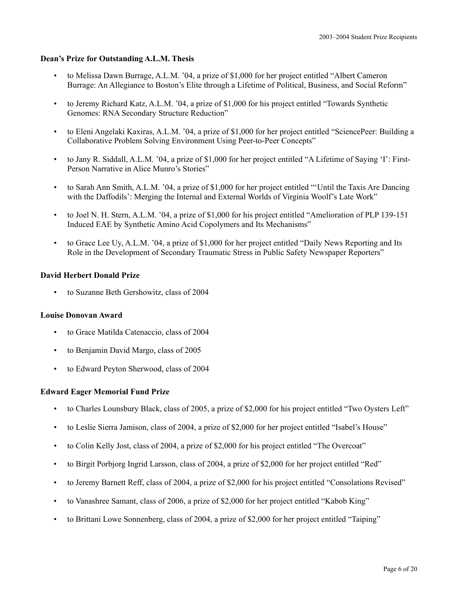# **Dean's Prize for Outstanding A.L.M. Thesis**

- to Melissa Dawn Burrage, A.L.M. '04, a prize of \$1,000 for her project entitled "Albert Cameron Burrage: An Allegiance to Boston's Elite through a Lifetime of Political, Business, and Social Reform"
- to Jeremy Richard Katz, A.L.M. '04, a prize of \$1,000 for his project entitled "Towards Synthetic Genomes: RNA Secondary Structure Reduction"
- to Eleni Angelaki Kaxiras, A.L.M. '04, a prize of \$1,000 for her project entitled "SciencePeer: Building a Collaborative Problem Solving Environment Using Peer-to-Peer Concepts"
- to Jany R. Siddall, A.L.M. '04, a prize of \$1,000 for her project entitled "A Lifetime of Saying 'I': First-Person Narrative in Alice Munro's Stories"
- to Sarah Ann Smith, A.L.M. '04, a prize of \$1,000 for her project entitled "'Until the Taxis Are Dancing with the Daffodils': Merging the Internal and External Worlds of Virginia Woolf's Late Work"
- to Joel N. H. Stern, A.L.M. '04, a prize of \$1,000 for his project entitled "Amelioration of PLP 139-151 Induced EAE by Synthetic Amino Acid Copolymers and Its Mechanisms"
- to Grace Lee Uy, A.L.M. '04, a prize of \$1,000 for her project entitled "Daily News Reporting and Its Role in the Development of Secondary Traumatic Stress in Public Safety Newspaper Reporters"

# **David Herbert Donald Prize**

• to Suzanne Beth Gershowitz, class of 2004

### **Louise Donovan Award**

- to Grace Matilda Catenaccio, class of 2004
- to Benjamin David Margo, class of 2005
- to Edward Peyton Sherwood, class of 2004

# **Edward Eager Memorial Fund Prize**

- to Charles Lounsbury Black, class of 2005, a prize of \$2,000 for his project entitled "Two Oysters Left"
- to Leslie Sierra Jamison, class of 2004, a prize of \$2,000 for her project entitled "Isabel's House"
- to Colin Kelly Jost, class of 2004, a prize of \$2,000 for his project entitled "The Overcoat"
- to Birgit Porbjorg Ingrid Larsson, class of 2004, a prize of \$2,000 for her project entitled "Red"
- to Jeremy Barnett Reff, class of 2004, a prize of \$2,000 for his project entitled "Consolations Revised"
- to Vanashree Samant, class of 2006, a prize of \$2,000 for her project entitled "Kabob King"
- to Brittani Lowe Sonnenberg, class of 2004, a prize of \$2,000 for her project entitled "Taiping"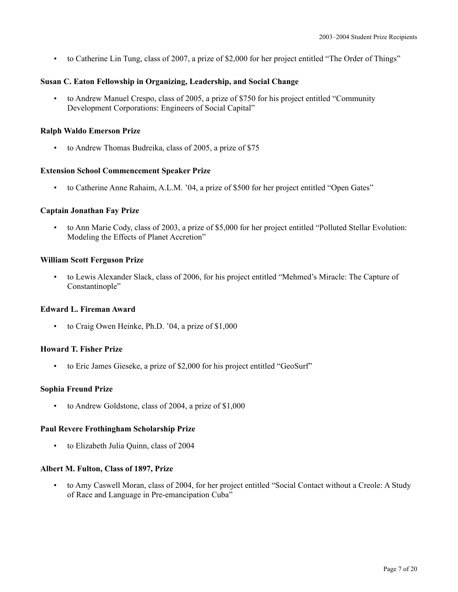• to Catherine Lin Tung, class of 2007, a prize of \$2,000 for her project entitled "The Order of Things"

# **Susan C. Eaton Fellowship in Organizing, Leadership, and Social Change**

• to Andrew Manuel Crespo, class of 2005, a prize of \$750 for his project entitled "Community Development Corporations: Engineers of Social Capital"

# **Ralph Waldo Emerson Prize**

• to Andrew Thomas Budreika, class of 2005, a prize of \$75

# **Extension School Commencement Speaker Prize**

• to Catherine Anne Rahaim, A.L.M. '04, a prize of \$500 for her project entitled "Open Gates"

# **Captain Jonathan Fay Prize**

• to Ann Marie Cody, class of 2003, a prize of \$5,000 for her project entitled "Polluted Stellar Evolution: Modeling the Effects of Planet Accretion"

# **William Scott Ferguson Prize**

• to Lewis Alexander Slack, class of 2006, for his project entitled "Mehmed's Miracle: The Capture of Constantinople"

# **Edward L. Fireman Award**

• to Craig Owen Heinke, Ph.D. '04, a prize of \$1,000

# **Howard T. Fisher Prize**

• to Eric James Gieseke, a prize of \$2,000 for his project entitled "GeoSurf"

# **Sophia Freund Prize**

• to Andrew Goldstone, class of 2004, a prize of \$1,000

# **Paul Revere Frothingham Scholarship Prize**

• to Elizabeth Julia Quinn, class of 2004

# **Albert M. Fulton, Class of 1897, Prize**

• to Amy Caswell Moran, class of 2004, for her project entitled "Social Contact without a Creole: A Study of Race and Language in Pre-emancipation Cuba"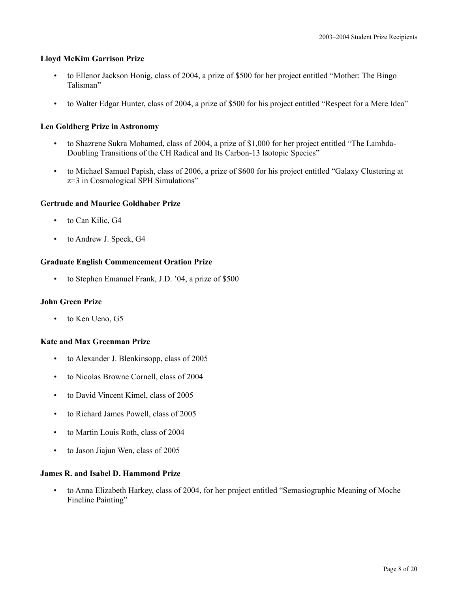### **Lloyd McKim Garrison Prize**

- to Ellenor Jackson Honig, class of 2004, a prize of \$500 for her project entitled "Mother: The Bingo Talisman"
- to Walter Edgar Hunter, class of 2004, a prize of \$500 for his project entitled "Respect for a Mere Idea"

# **Leo Goldberg Prize in Astronomy**

- to Shazrene Sukra Mohamed, class of 2004, a prize of \$1,000 for her project entitled "The Lambda-Doubling Transitions of the CH Radical and Its Carbon-13 Isotopic Species"
- to Michael Samuel Papish, class of 2006, a prize of \$600 for his project entitled "Galaxy Clustering at z=3 in Cosmological SPH Simulations"

### **Gertrude and Maurice Goldhaber Prize**

- to Can Kilic, G4
- to Andrew J. Speck, G4

### **Graduate English Commencement Oration Prize**

• to Stephen Emanuel Frank, J.D. '04, a prize of \$500

### **John Green Prize**

to Ken Ueno, G5

### **Kate and Max Greenman Prize**

- to Alexander J. Blenkinsopp, class of 2005
- to Nicolas Browne Cornell, class of 2004
- to David Vincent Kimel, class of 2005
- to Richard James Powell, class of 2005
- to Martin Louis Roth, class of 2004
- to Jason Jiajun Wen, class of 2005

### **James R. and Isabel D. Hammond Prize**

• to Anna Elizabeth Harkey, class of 2004, for her project entitled "Semasiographic Meaning of Moche Fineline Painting"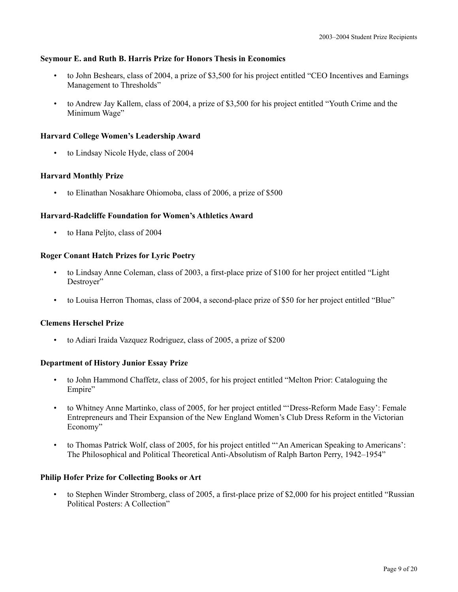# **Seymour E. and Ruth B. Harris Prize for Honors Thesis in Economics**

- to John Beshears, class of 2004, a prize of \$3,500 for his project entitled "CEO Incentives and Earnings Management to Thresholds"
- to Andrew Jay Kallem, class of 2004, a prize of \$3,500 for his project entitled "Youth Crime and the Minimum Wage"

# **Harvard College Women's Leadership Award**

• to Lindsay Nicole Hyde, class of 2004

# **Harvard Monthly Prize**

• to Elinathan Nosakhare Ohiomoba, class of 2006, a prize of \$500

# **Harvard-Radcliffe Foundation for Women's Athletics Award**

• to Hana Peljto, class of 2004

# **Roger Conant Hatch Prizes for Lyric Poetry**

- to Lindsay Anne Coleman, class of 2003, a first-place prize of \$100 for her project entitled "Light Destroyer"
- to Louisa Herron Thomas, class of 2004, a second-place prize of \$50 for her project entitled "Blue"

# **Clemens Herschel Prize**

• to Adiari Iraida Vazquez Rodriguez, class of 2005, a prize of \$200

# **Department of History Junior Essay Prize**

- to John Hammond Chaffetz, class of 2005, for his project entitled "Melton Prior: Cataloguing the Empire"
- to Whitney Anne Martinko, class of 2005, for her project entitled "'Dress-Reform Made Easy': Female Entrepreneurs and Their Expansion of the New England Women's Club Dress Reform in the Victorian Economy"
- to Thomas Patrick Wolf, class of 2005, for his project entitled "'An American Speaking to Americans': The Philosophical and Political Theoretical Anti-Absolutism of Ralph Barton Perry, 1942–1954"

# **Philip Hofer Prize for Collecting Books or Art**

• to Stephen Winder Stromberg, class of 2005, a first-place prize of \$2,000 for his project entitled "Russian Political Posters: A Collection"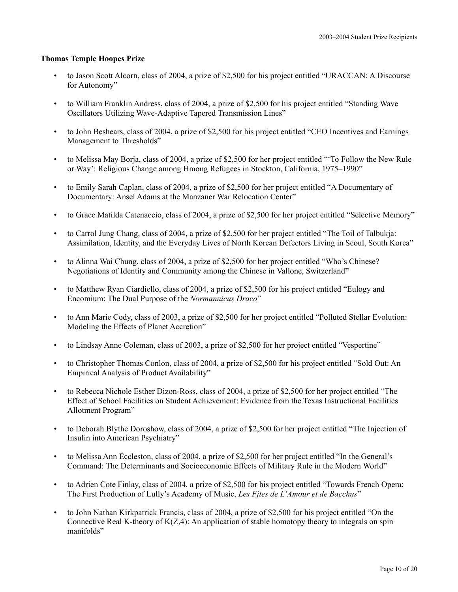### **Thomas Temple Hoopes Prize**

- to Jason Scott Alcorn, class of 2004, a prize of \$2,500 for his project entitled "URACCAN: A Discourse for Autonomy"
- to William Franklin Andress, class of 2004, a prize of \$2,500 for his project entitled "Standing Wave Oscillators Utilizing Wave-Adaptive Tapered Transmission Lines"
- to John Beshears, class of 2004, a prize of \$2,500 for his project entitled "CEO Incentives and Earnings Management to Thresholds"
- to Melissa May Borja, class of 2004, a prize of \$2,500 for her project entitled "'To Follow the New Rule or Way': Religious Change among Hmong Refugees in Stockton, California, 1975–1990"
- to Emily Sarah Caplan, class of 2004, a prize of \$2,500 for her project entitled "A Documentary of Documentary: Ansel Adams at the Manzaner War Relocation Center"
- to Grace Matilda Catenaccio, class of 2004, a prize of \$2,500 for her project entitled "Selective Memory"
- to Carrol Jung Chang, class of 2004, a prize of \$2,500 for her project entitled "The Toil of Talbukja: Assimilation, Identity, and the Everyday Lives of North Korean Defectors Living in Seoul, South Korea"
- to Alinna Wai Chung, class of 2004, a prize of \$2,500 for her project entitled "Who's Chinese? Negotiations of Identity and Community among the Chinese in Vallone, Switzerland"
- to Matthew Ryan Ciardiello, class of 2004, a prize of \$2,500 for his project entitled "Eulogy and Encomium: The Dual Purpose of the *Normannicus Draco*"
- to Ann Marie Cody, class of 2003, a prize of \$2,500 for her project entitled "Polluted Stellar Evolution: Modeling the Effects of Planet Accretion"
- to Lindsay Anne Coleman, class of 2003, a prize of \$2,500 for her project entitled "Vespertine"
- to Christopher Thomas Conlon, class of 2004, a prize of \$2,500 for his project entitled "Sold Out: An Empirical Analysis of Product Availability"
- to Rebecca Nichole Esther Dizon-Ross, class of 2004, a prize of \$2,500 for her project entitled "The Effect of School Facilities on Student Achievement: Evidence from the Texas Instructional Facilities Allotment Program"
- to Deborah Blythe Doroshow, class of 2004, a prize of \$2,500 for her project entitled "The Injection of Insulin into American Psychiatry"
- to Melissa Ann Eccleston, class of 2004, a prize of \$2,500 for her project entitled "In the General's Command: The Determinants and Socioeconomic Effects of Military Rule in the Modern World"
- to Adrien Cote Finlay, class of 2004, a prize of \$2,500 for his project entitled "Towards French Opera: The First Production of Lully's Academy of Music, *Les Fjtes de L'Amour et de Bacchus*"
- to John Nathan Kirkpatrick Francis, class of 2004, a prize of \$2,500 for his project entitled "On the Connective Real K-theory of  $K(Z,4)$ : An application of stable homotopy theory to integrals on spin manifolds"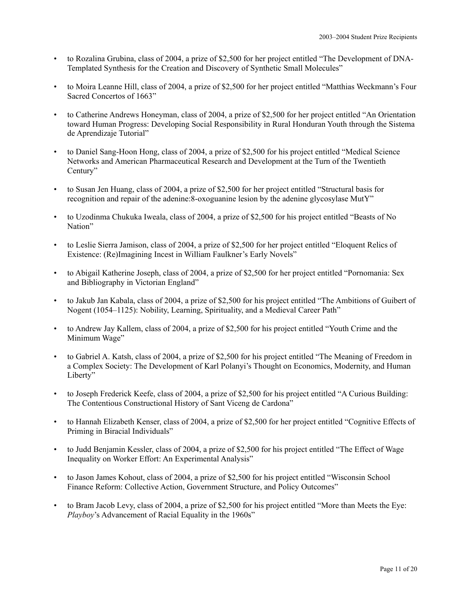- to Rozalina Grubina, class of 2004, a prize of \$2,500 for her project entitled "The Development of DNA-Templated Synthesis for the Creation and Discovery of Synthetic Small Molecules"
- to Moira Leanne Hill, class of 2004, a prize of \$2,500 for her project entitled "Matthias Weckmann's Four Sacred Concertos of 1663"
- to Catherine Andrews Honeyman, class of 2004, a prize of \$2,500 for her project entitled "An Orientation toward Human Progress: Developing Social Responsibility in Rural Honduran Youth through the Sistema de Aprendizaje Tutorial"
- to Daniel Sang-Hoon Hong, class of 2004, a prize of \$2,500 for his project entitled "Medical Science Networks and American Pharmaceutical Research and Development at the Turn of the Twentieth Century"
- to Susan Jen Huang, class of 2004, a prize of \$2,500 for her project entitled "Structural basis for recognition and repair of the adenine:8-oxoguanine lesion by the adenine glycosylase MutY"
- to Uzodinma Chukuka Iweala, class of 2004, a prize of \$2,500 for his project entitled "Beasts of No Nation"
- to Leslie Sierra Jamison, class of 2004, a prize of \$2,500 for her project entitled "Eloquent Relics of Existence: (Re)Imagining Incest in William Faulkner's Early Novels"
- to Abigail Katherine Joseph, class of 2004, a prize of \$2,500 for her project entitled "Pornomania: Sex and Bibliography in Victorian England"
- to Jakub Jan Kabala, class of 2004, a prize of \$2,500 for his project entitled "The Ambitions of Guibert of Nogent (1054–1125): Nobility, Learning, Spirituality, and a Medieval Career Path"
- to Andrew Jay Kallem, class of 2004, a prize of \$2,500 for his project entitled "Youth Crime and the Minimum Wage"
- to Gabriel A. Katsh, class of 2004, a prize of \$2,500 for his project entitled "The Meaning of Freedom in a Complex Society: The Development of Karl Polanyi's Thought on Economics, Modernity, and Human Liberty"
- to Joseph Frederick Keefe, class of 2004, a prize of \$2,500 for his project entitled "A Curious Building: The Contentious Constructional History of Sant Viceng de Cardona"
- to Hannah Elizabeth Kenser, class of 2004, a prize of \$2,500 for her project entitled "Cognitive Effects of Priming in Biracial Individuals"
- to Judd Benjamin Kessler, class of 2004, a prize of \$2,500 for his project entitled "The Effect of Wage Inequality on Worker Effort: An Experimental Analysis"
- to Jason James Kohout, class of 2004, a prize of \$2,500 for his project entitled "Wisconsin School Finance Reform: Collective Action, Government Structure, and Policy Outcomes"
- to Bram Jacob Levy, class of 2004, a prize of \$2,500 for his project entitled "More than Meets the Eye: *Playboy*'s Advancement of Racial Equality in the 1960s"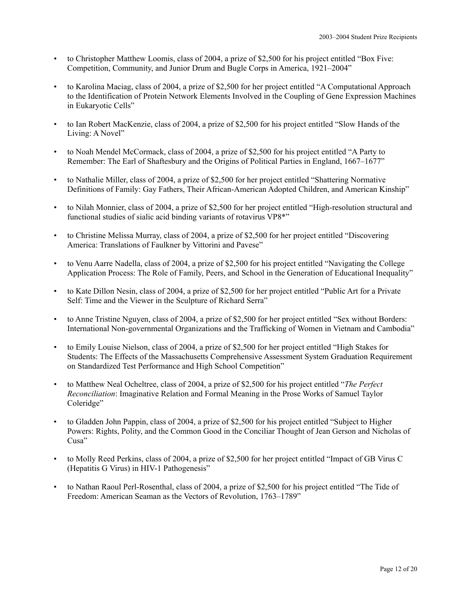- to Christopher Matthew Loomis, class of 2004, a prize of \$2,500 for his project entitled "Box Five: Competition, Community, and Junior Drum and Bugle Corps in America, 1921–2004"
- to Karolina Maciag, class of 2004, a prize of \$2,500 for her project entitled "A Computational Approach to the Identification of Protein Network Elements Involved in the Coupling of Gene Expression Machines in Eukaryotic Cells"
- to Ian Robert MacKenzie, class of 2004, a prize of \$2,500 for his project entitled "Slow Hands of the Living: A Novel"
- to Noah Mendel McCormack, class of 2004, a prize of \$2,500 for his project entitled "A Party to Remember: The Earl of Shaftesbury and the Origins of Political Parties in England, 1667–1677"
- to Nathalie Miller, class of 2004, a prize of \$2,500 for her project entitled "Shattering Normative Definitions of Family: Gay Fathers, Their African-American Adopted Children, and American Kinship"
- to Nilah Monnier, class of 2004, a prize of \$2,500 for her project entitled "High-resolution structural and functional studies of sialic acid binding variants of rotavirus VP8\*"
- to Christine Melissa Murray, class of 2004, a prize of \$2,500 for her project entitled "Discovering America: Translations of Faulkner by Vittorini and Pavese"
- to Venu Aarre Nadella, class of 2004, a prize of \$2,500 for his project entitled "Navigating the College Application Process: The Role of Family, Peers, and School in the Generation of Educational Inequality"
- to Kate Dillon Nesin, class of 2004, a prize of \$2,500 for her project entitled "Public Art for a Private Self: Time and the Viewer in the Sculpture of Richard Serra"
- to Anne Tristine Nguyen, class of 2004, a prize of \$2,500 for her project entitled "Sex without Borders: International Non-governmental Organizations and the Trafficking of Women in Vietnam and Cambodia"
- to Emily Louise Nielson, class of 2004, a prize of \$2,500 for her project entitled "High Stakes for Students: The Effects of the Massachusetts Comprehensive Assessment System Graduation Requirement on Standardized Test Performance and High School Competition"
- to Matthew Neal Ocheltree, class of 2004, a prize of \$2,500 for his project entitled "*The Perfect Reconciliation*: Imaginative Relation and Formal Meaning in the Prose Works of Samuel Taylor Coleridge"
- to Gladden John Pappin, class of 2004, a prize of \$2,500 for his project entitled "Subject to Higher Powers: Rights, Polity, and the Common Good in the Conciliar Thought of Jean Gerson and Nicholas of Cusa"
- to Molly Reed Perkins, class of 2004, a prize of \$2,500 for her project entitled "Impact of GB Virus C (Hepatitis G Virus) in HIV-1 Pathogenesis"
- to Nathan Raoul Perl-Rosenthal, class of 2004, a prize of \$2,500 for his project entitled "The Tide of Freedom: American Seaman as the Vectors of Revolution, 1763–1789"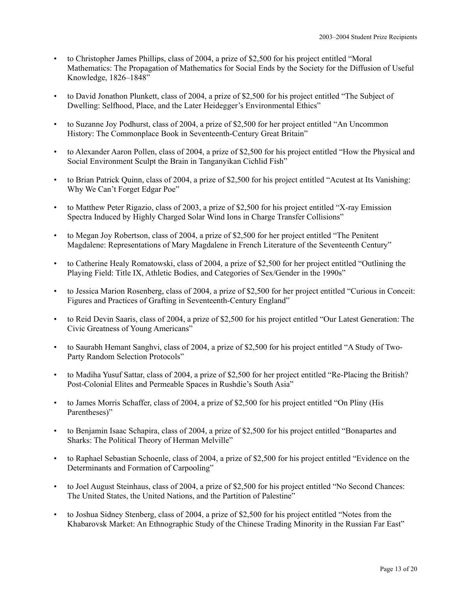- to Christopher James Phillips, class of 2004, a prize of \$2,500 for his project entitled "Moral Mathematics: The Propagation of Mathematics for Social Ends by the Society for the Diffusion of Useful Knowledge, 1826–1848"
- to David Jonathon Plunkett, class of 2004, a prize of \$2,500 for his project entitled "The Subject of Dwelling: Selfhood, Place, and the Later Heidegger's Environmental Ethics"
- to Suzanne Joy Podhurst, class of 2004, a prize of \$2,500 for her project entitled "An Uncommon History: The Commonplace Book in Seventeenth-Century Great Britain"
- to Alexander Aaron Pollen, class of 2004, a prize of \$2,500 for his project entitled "How the Physical and Social Environment Sculpt the Brain in Tanganyikan Cichlid Fish"
- to Brian Patrick Quinn, class of 2004, a prize of \$2,500 for his project entitled "Acutest at Its Vanishing: Why We Can't Forget Edgar Poe"
- to Matthew Peter Rigazio, class of 2003, a prize of \$2,500 for his project entitled "X-ray Emission Spectra Induced by Highly Charged Solar Wind Ions in Charge Transfer Collisions"
- to Megan Joy Robertson, class of 2004, a prize of \$2,500 for her project entitled "The Penitent Magdalene: Representations of Mary Magdalene in French Literature of the Seventeenth Century"
- to Catherine Healy Romatowski, class of 2004, a prize of \$2,500 for her project entitled "Outlining the Playing Field: Title IX, Athletic Bodies, and Categories of Sex/Gender in the 1990s"
- to Jessica Marion Rosenberg, class of 2004, a prize of \$2,500 for her project entitled "Curious in Conceit: Figures and Practices of Grafting in Seventeenth-Century England"
- to Reid Devin Saaris, class of 2004, a prize of \$2,500 for his project entitled "Our Latest Generation: The Civic Greatness of Young Americans"
- to Saurabh Hemant Sanghvi, class of 2004, a prize of \$2,500 for his project entitled "A Study of Two-Party Random Selection Protocols"
- to Madiha Yusuf Sattar, class of 2004, a prize of \$2,500 for her project entitled "Re-Placing the British? Post-Colonial Elites and Permeable Spaces in Rushdie's South Asia"
- to James Morris Schaffer, class of 2004, a prize of \$2,500 for his project entitled "On Pliny (His Parentheses)"
- to Benjamin Isaac Schapira, class of 2004, a prize of \$2,500 for his project entitled "Bonapartes and Sharks: The Political Theory of Herman Melville"
- to Raphael Sebastian Schoenle, class of 2004, a prize of \$2,500 for his project entitled "Evidence on the Determinants and Formation of Carpooling"
- to Joel August Steinhaus, class of 2004, a prize of \$2,500 for his project entitled "No Second Chances: The United States, the United Nations, and the Partition of Palestine"
- to Joshua Sidney Stenberg, class of 2004, a prize of \$2,500 for his project entitled "Notes from the Khabarovsk Market: An Ethnographic Study of the Chinese Trading Minority in the Russian Far East"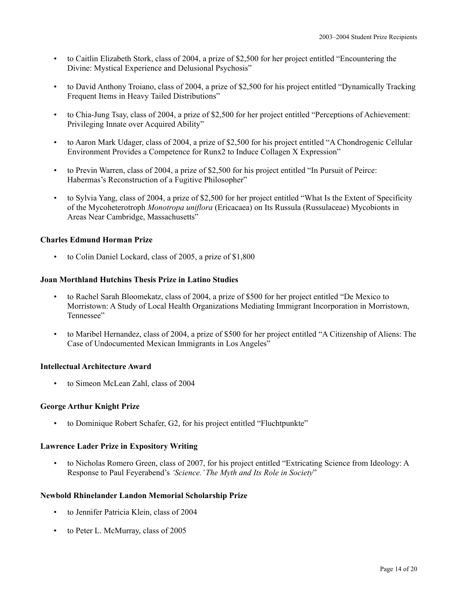- to Caitlin Elizabeth Stork, class of 2004, a prize of \$2,500 for her project entitled "Encountering the Divine: Mystical Experience and Delusional Psychosis"
- to David Anthony Troiano, class of 2004, a prize of \$2,500 for his project entitled "Dynamically Tracking Frequent Items in Heavy Tailed Distributions"
- to Chia-Jung Tsay, class of 2004, a prize of \$2,500 for her project entitled "Perceptions of Achievement: Privileging Innate over Acquired Ability"
- to Aaron Mark Udager, class of 2004, a prize of \$2,500 for his project entitled "A Chondrogenic Cellular Environment Provides a Competence for Runx2 to Induce Collagen X Expression"
- to Previn Warren, class of 2004, a prize of \$2,500 for his project entitled "In Pursuit of Peirce: Habermas's Reconstruction of a Fugitive Philosopher"
- to Sylvia Yang, class of 2004, a prize of \$2,500 for her project entitled "What Is the Extent of Specificity of the Mycoheterotroph *Monotropa uniflora* (Ericacaea) on Its Russula (Russulaceae) Mycobionts in Areas Near Cambridge, Massachusetts"

# **Charles Edmund Horman Prize**

• to Colin Daniel Lockard, class of 2005, a prize of \$1,800

# **Joan Morthland Hutchins Thesis Prize in Latino Studies**

- to Rachel Sarah Bloomekatz, class of 2004, a prize of \$500 for her project entitled "De Mexico to Morristown: A Study of Local Health Organizations Mediating Immigrant Incorporation in Morristown, Tennessee"
- to Maribel Hernandez, class of 2004, a prize of \$500 for her project entitled "A Citizenship of Aliens: The Case of Undocumented Mexican Immigrants in Los Angeles"

# **Intellectual Architecture Award**

• to Simeon McLean Zahl, class of 2004

# **George Arthur Knight Prize**

• to Dominique Robert Schafer, G2, for his project entitled "Fluchtpunkte"

# **Lawrence Lader Prize in Expository Writing**

• to Nicholas Romero Green, class of 2007, for his project entitled "Extricating Science from Ideology: A Response to Paul Feyerabend's *'Science.' The Myth and Its Role in Society*"

# **Newbold Rhinelander Landon Memorial Scholarship Prize**

- to Jennifer Patricia Klein, class of 2004
- to Peter L. McMurray, class of 2005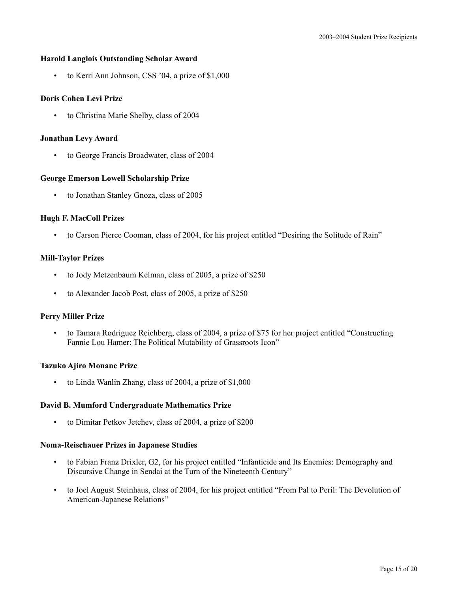# **Harold Langlois Outstanding Scholar Award**

• to Kerri Ann Johnson, CSS '04, a prize of \$1,000

# **Doris Cohen Levi Prize**

• to Christina Marie Shelby, class of 2004

# **Jonathan Levy Award**

• to George Francis Broadwater, class of 2004

# **George Emerson Lowell Scholarship Prize**

• to Jonathan Stanley Gnoza, class of 2005

# **Hugh F. MacColl Prizes**

• to Carson Pierce Cooman, class of 2004, for his project entitled "Desiring the Solitude of Rain"

# **Mill-Taylor Prizes**

- to Jody Metzenbaum Kelman, class of 2005, a prize of \$250
- to Alexander Jacob Post, class of 2005, a prize of \$250

# **Perry Miller Prize**

• to Tamara Rodriguez Reichberg, class of 2004, a prize of \$75 for her project entitled "Constructing Fannie Lou Hamer: The Political Mutability of Grassroots Icon"

# **Tazuko Ajiro Monane Prize**

• to Linda Wanlin Zhang, class of 2004, a prize of \$1,000

# **David B. Mumford Undergraduate Mathematics Prize**

• to Dimitar Petkov Jetchev, class of 2004, a prize of \$200

### **Noma-Reischauer Prizes in Japanese Studies**

- to Fabian Franz Drixler, G2, for his project entitled "Infanticide and Its Enemies: Demography and Discursive Change in Sendai at the Turn of the Nineteenth Century"
- to Joel August Steinhaus, class of 2004, for his project entitled "From Pal to Peril: The Devolution of American-Japanese Relations"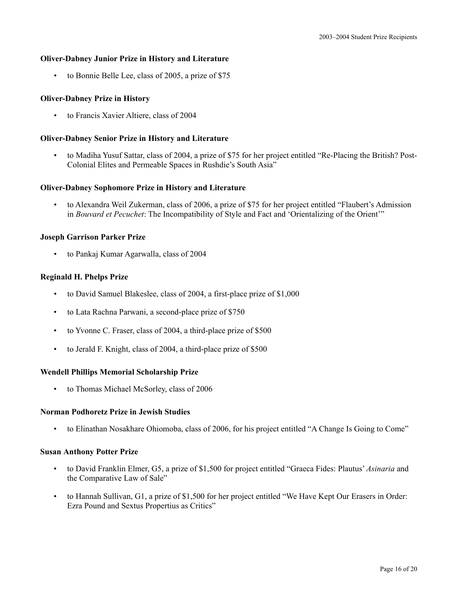# **Oliver-Dabney Junior Prize in History and Literature**

• to Bonnie Belle Lee, class of 2005, a prize of \$75

# **Oliver-Dabney Prize in History**

• to Francis Xavier Altiere, class of 2004

# **Oliver-Dabney Senior Prize in History and Literature**

• to Madiha Yusuf Sattar, class of 2004, a prize of \$75 for her project entitled "Re-Placing the British? Post-Colonial Elites and Permeable Spaces in Rushdie's South Asia"

# **Oliver-Dabney Sophomore Prize in History and Literature**

• to Alexandra Weil Zukerman, class of 2006, a prize of \$75 for her project entitled "Flaubert's Admission in *Bouvard et Pecuchet*: The Incompatibility of Style and Fact and 'Orientalizing of the Orient'"

# **Joseph Garrison Parker Prize**

• to Pankaj Kumar Agarwalla, class of 2004

# **Reginald H. Phelps Prize**

- to David Samuel Blakeslee, class of 2004, a first-place prize of \$1,000
- to Lata Rachna Parwani, a second-place prize of \$750
- to Yvonne C. Fraser, class of 2004, a third-place prize of \$500
- to Jerald F. Knight, class of 2004, a third-place prize of \$500

# **Wendell Phillips Memorial Scholarship Prize**

• to Thomas Michael McSorley, class of 2006

# **Norman Podhoretz Prize in Jewish Studies**

• to Elinathan Nosakhare Ohiomoba, class of 2006, for his project entitled "A Change Is Going to Come"

# **Susan Anthony Potter Prize**

- to David Franklin Elmer, G5, a prize of \$1,500 for project entitled "Graeca Fides: Plautus' *Asinaria* and the Comparative Law of Sale"
- to Hannah Sullivan, G1, a prize of \$1,500 for her project entitled "We Have Kept Our Erasers in Order: Ezra Pound and Sextus Propertius as Critics"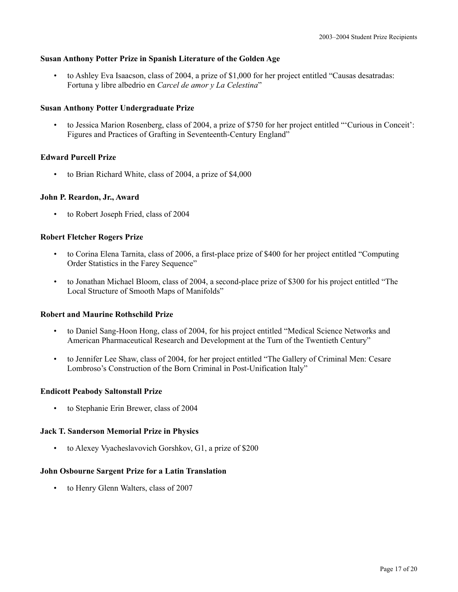# **Susan Anthony Potter Prize in Spanish Literature of the Golden Age**

• to Ashley Eva Isaacson, class of 2004, a prize of \$1,000 for her project entitled "Causas desatradas: Fortuna y libre albedrio en *Carcel de amor y La Celestina*"

### **Susan Anthony Potter Undergraduate Prize**

• to Jessica Marion Rosenberg, class of 2004, a prize of \$750 for her project entitled "'Curious in Conceit': Figures and Practices of Grafting in Seventeenth-Century England"

### **Edward Purcell Prize**

• to Brian Richard White, class of 2004, a prize of \$4,000

### **John P. Reardon, Jr., Award**

• to Robert Joseph Fried, class of 2004

### **Robert Fletcher Rogers Prize**

- to Corina Elena Tarnita, class of 2006, a first-place prize of \$400 for her project entitled "Computing Order Statistics in the Farey Sequence"
- to Jonathan Michael Bloom, class of 2004, a second-place prize of \$300 for his project entitled "The Local Structure of Smooth Maps of Manifolds"

### **Robert and Maurine Rothschild Prize**

- to Daniel Sang-Hoon Hong, class of 2004, for his project entitled "Medical Science Networks and American Pharmaceutical Research and Development at the Turn of the Twentieth Century"
- to Jennifer Lee Shaw, class of 2004, for her project entitled "The Gallery of Criminal Men: Cesare Lombroso's Construction of the Born Criminal in Post-Unification Italy"

### **Endicott Peabody Saltonstall Prize**

• to Stephanie Erin Brewer, class of 2004

### **Jack T. Sanderson Memorial Prize in Physics**

• to Alexey Vyacheslavovich Gorshkov, G1, a prize of \$200

### **John Osbourne Sargent Prize for a Latin Translation**

• to Henry Glenn Walters, class of 2007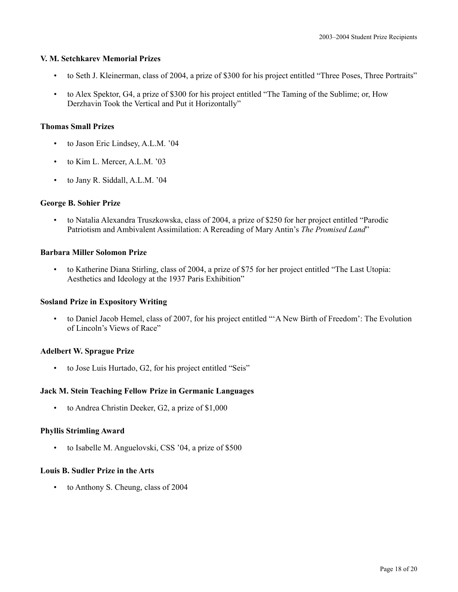### **V. M. Setchkarev Memorial Prizes**

- to Seth J. Kleinerman, class of 2004, a prize of \$300 for his project entitled "Three Poses, Three Portraits"
- to Alex Spektor, G4, a prize of \$300 for his project entitled "The Taming of the Sublime; or, How Derzhavin Took the Vertical and Put it Horizontally"

# **Thomas Small Prizes**

- to Jason Eric Lindsey, A.L.M. '04
- to Kim L. Mercer, A.L.M. '03
- to Jany R. Siddall, A.L.M. '04

### **George B. Sohier Prize**

• to Natalia Alexandra Truszkowska, class of 2004, a prize of \$250 for her project entitled "Parodic Patriotism and Ambivalent Assimilation: A Rereading of Mary Antin's *The Promised Land*"

### **Barbara Miller Solomon Prize**

• to Katherine Diana Stirling, class of 2004, a prize of \$75 for her project entitled "The Last Utopia: Aesthetics and Ideology at the 1937 Paris Exhibition"

# **Sosland Prize in Expository Writing**

• to Daniel Jacob Hemel, class of 2007, for his project entitled "'A New Birth of Freedom': The Evolution of Lincoln's Views of Race"

# **Adelbert W. Sprague Prize**

• to Jose Luis Hurtado, G2, for his project entitled "Seis"

# **Jack M. Stein Teaching Fellow Prize in Germanic Languages**

• to Andrea Christin Deeker, G2, a prize of \$1,000

### **Phyllis Strimling Award**

• to Isabelle M. Anguelovski, CSS '04, a prize of \$500

### **Louis B. Sudler Prize in the Arts**

• to Anthony S. Cheung, class of 2004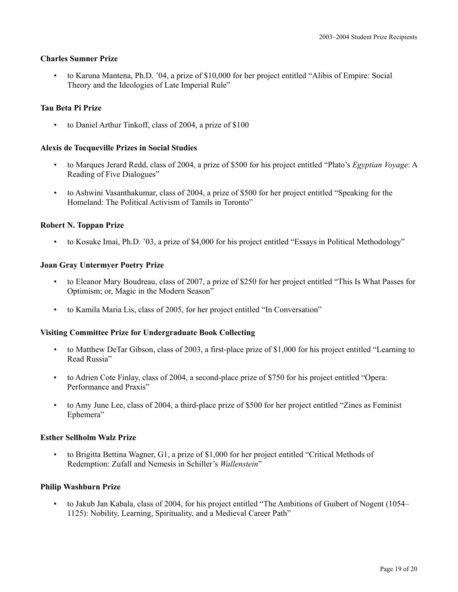# **Charles Sumner Prize**

• to Karuna Mantena, Ph.D. '04, a prize of \$10,000 for her project entitled "Alibis of Empire: Social Theory and the Ideologies of Late Imperial Rule"

# **Tau Beta Pi Prize**

• to Daniel Arthur Tinkoff, class of 2004, a prize of \$100

# **Alexis de Tocqueville Prizes in Social Studies**

- to Marques Jerard Redd, class of 2004, a prize of \$500 for his project entitled "Plato's *Egyptian Voyage*: A Reading of Five Dialogues"
- to Ashwini Vasanthakumar, class of 2004, a prize of \$500 for her project entitled "Speaking for the Homeland: The Political Activism of Tamils in Toronto"

### **Robert N. Toppan Prize**

• to Kosuke Imai, Ph.D. '03, a prize of \$4,000 for his project entitled "Essays in Political Methodology"

### **Joan Gray Untermyer Poetry Prize**

- to Eleanor Mary Boudreau, class of 2007, a prize of \$250 for her project entitled "This Is What Passes for Optimism; or, Magic in the Modern Season"
- to Kamila Maria Lis, class of 2005, for her project entitled "In Conversation"

# **Visiting Committee Prize for Undergraduate Book Collecting**

- to Matthew DeTar Gibson, class of 2003, a first-place prize of \$1,000 for his project entitled "Learning to Read Russia"
- to Adrien Cote Finlay, class of 2004, a second-place prize of \$750 for his project entitled "Opera: Performance and Praxis"
- to Amy June Lee, class of 2004, a third-place prize of \$500 for her project entitled "Zines as Feminist Ephemera"

### **Esther Sellholm Walz Prize**

• to Brigitta Bettina Wagner, G1, a prize of \$1,000 for her project entitled "Critical Methods of Redemption: Zufall and Nemesis in Schiller's *Wallenstein*"

# **Philip Washburn Prize**

• to Jakub Jan Kabala, class of 2004, for his project entitled "The Ambitions of Guibert of Nogent (1054– 1125): Nobility, Learning, Spirituality, and a Medieval Career Path"